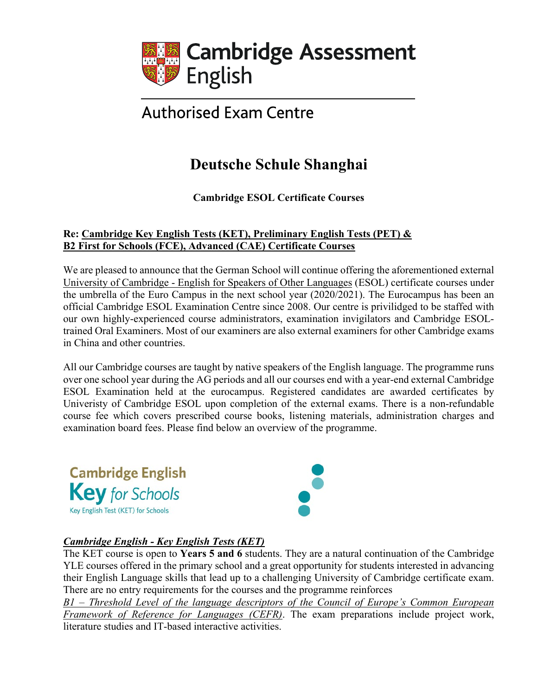

# **Authorised Exam Centre**

## **Deutsche Schule Shanghai**

**Cambridge ESOL Certificate Courses**

### **Re: Cambridge Key English Tests (KET), Preliminary English Tests (PET) & B2 First for Schools (FCE), Advanced (CAE) Certificate Courses**

We are pleased to announce that the German School will continue offering the aforementioned external University of Cambridge - English for Speakers of Other Languages (ESOL) certificate courses under the umbrella of the Euro Campus in the next school year (2020/2021). The Eurocampus has been an official Cambridge ESOL Examination Centre since 2008. Our centre is privilidged to be staffed with our own highly-experienced course administrators, examination invigilators and Cambridge ESOLtrained Oral Examiners. Most of our examiners are also external examiners for other Cambridge exams in China and other countries.

All our Cambridge courses are taught by native speakers of the English language. The programme runs over one school year during the AG periods and all our courses end with a year-end external Cambridge ESOL Examination held at the eurocampus. Registered candidates are awarded certificates by Univeristy of Cambridge ESOL upon completion of the external exams. There is a non-refundable course fee which covers prescribed course books, listening materials, administration charges and examination board fees. Please find below an overview of the programme.



## *Cambridge English - Key English Tests (KET)*

The KET course is open to **Years 5 and 6** students. They are a natural continuation of the Cambridge YLE courses offered in the primary school and a great opportunity for students interested in advancing their English Language skills that lead up to a challenging University of Cambridge certificate exam. There are no entry requirements for the courses and the programme reinforces

*B1 – Threshold Level of the language descriptors of the Council of Europe's Common European Framework of Reference for Languages (CEFR)*. The exam preparations include project work, literature studies and IT-based interactive activities.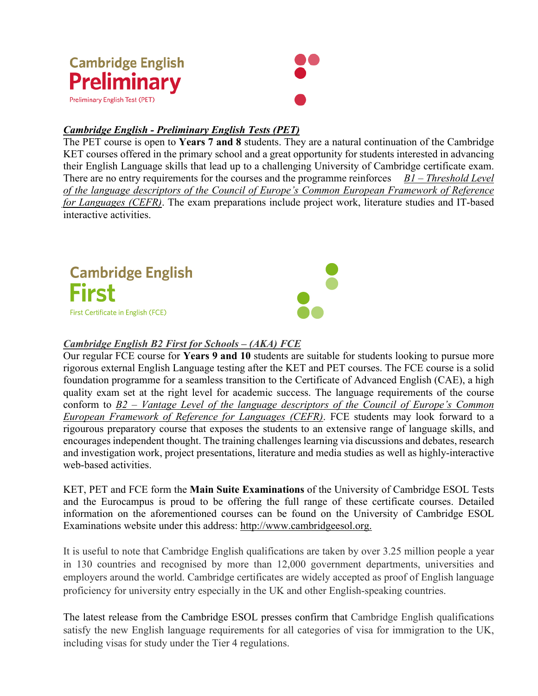

### *Cambridge English - Preliminary English Tests (PET)*

The PET course is open to **Years 7 and 8** students. They are a natural continuation of the Cambridge KET courses offered in the primary school and a great opportunity for students interested in advancing their English Language skills that lead up to a challenging University of Cambridge certificate exam. There are no entry requirements for the courses and the programme reinforces *B1 – Threshold Level of the language descriptors of the Council of Europe's Common European Framework of Reference for Languages (CEFR)*. The exam preparations include project work, literature studies and IT-based interactive activities.



### *Cambridge English B2 First for Schools – (AKA) FCE*

Our regular FCE course for **Years 9 and 10** students are suitable for students looking to pursue more rigorous external English Language testing after the KET and PET courses. The FCE course is a solid foundation programme for a seamless transition to the Certificate of Advanced English (CAE), a high quality exam set at the right level for academic success. The language requirements of the course conform to *B2 – Vantage Level of the language descriptors of the Council of Europe's Common European Framework of Reference for Languages (CEFR)*. FCE students may look forward to a rigourous preparatory course that exposes the students to an extensive range of language skills, and encourages independent thought. The training challenges learning via discussions and debates, research and investigation work, project presentations, literature and media studies as well as highly-interactive web-based activities.

KET, PET and FCE form the **Main Suite Examinations** of the University of Cambridge ESOL Tests and the Eurocampus is proud to be offering the full range of these certificate courses. Detailed information on the aforementioned courses can be found on the University of Cambridge ESOL Examinations website under this address: http://www.cambridgeesol.org.

It is useful to note that Cambridge English qualifications are taken by over 3.25 million people a year in 130 countries and recognised by more than 12,000 government departments, universities and employers around the world. Cambridge certificates are widely accepted as proof of English language proficiency for university entry especially in the UK and other English-speaking countries.

The latest release from the Cambridge ESOL presses confirm that Cambridge English qualifications satisfy the new English language requirements for all categories of visa for immigration to the UK, including visas for study under the Tier 4 regulations.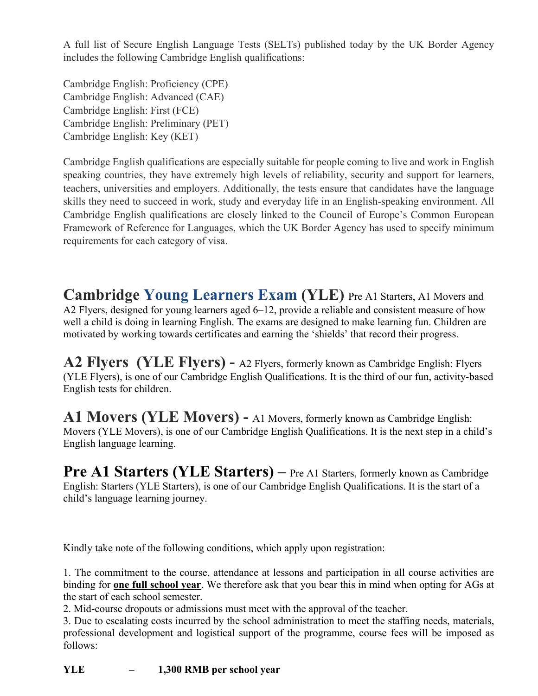A full list of Secure English Language Tests (SELTs) published today by the UK Border Agency includes the following Cambridge English qualifications:

Cambridge English: Proficiency (CPE) Cambridge English: Advanced (CAE) Cambridge English: First (FCE) Cambridge English: Preliminary (PET) Cambridge English: Key (KET)

Cambridge English qualifications are especially suitable for people coming to live and work in English speaking countries, they have extremely high levels of reliability, security and support for learners, teachers, universities and employers. Additionally, the tests ensure that candidates have the language skills they need to succeed in work, study and everyday life in an English-speaking environment. All Cambridge English qualifications are closely linked to the Council of Europe's Common European Framework of Reference for Languages, which the UK Border Agency has used to specify minimum requirements for each category of visa.

**Cambridge Young Learners Exam (YLE)** Pre A1 Starters, A1 Movers and A2 Flyers, designed for young learners aged 6–12, provide a reliable and consistent measure of how well a child is doing in learning English. The exams are designed to make learning fun. Children are motivated by working towards certificates and earning the 'shields' that record their progress.

**A2 Flyers (YLE Flyers) -** A2 Flyers, formerly known as Cambridge English: Flyers (YLE Flyers), is one of our [Cambridge English Qualifications.](https://www.cambridgeenglish.org/exams-and-tests/qualifications/index.aspx) It is the third of our fun, activity-based English tests for children.

**A1 Movers (YLE Movers) -** A1 Movers, formerly known as Cambridge English: Movers (YLE Movers), is one of our [Cambridge English Qualifications.](https://www.cambridgeenglish.org/exams-and-tests/qualifications/index.aspx) It is the next step in a child's English language learning.

**Pre A1 Starters (YLE Starters)** – Pre A1 Starters, formerly known as Cambridge English: Starters (YLE Starters), is one of our [Cambridge English Qualifications.](https://www.cambridgeenglish.org/exams-and-tests/qualifications/index.aspx) It is the start of a child's language learning journey.

Kindly take note of the following conditions, which apply upon registration:

1. The commitment to the course, attendance at lessons and participation in all course activities are binding for **one full school year**. We therefore ask that you bear this in mind when opting for AGs at the start of each school semester.

2. Mid-course dropouts or admissions must meet with the approval of the teacher.

3. Due to escalating costs incurred by the school administration to meet the staffing needs, materials, professional development and logistical support of the programme, course fees will be imposed as follows:

**YLE – 1,300 RMB per school year**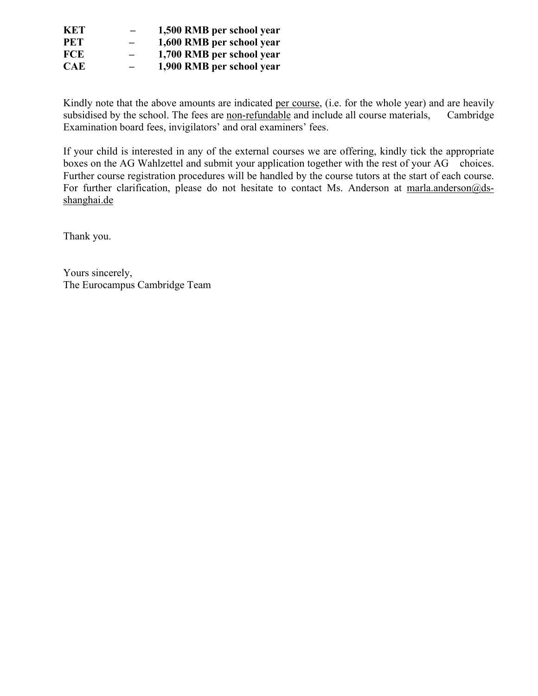| KET.       |                          | 1,500 RMB per school year |
|------------|--------------------------|---------------------------|
| <b>PET</b> | $\overline{\phantom{0}}$ | 1,600 RMB per school year |
| FCE.       | $\overline{\phantom{0}}$ | 1,700 RMB per school year |
| <b>CAE</b> | $\overline{\phantom{0}}$ | 1,900 RMB per school year |

Kindly note that the above amounts are indicated per course, (i.e. for the whole year) and are heavily subsidised by the school. The fees are non-refundable and include all course materials, Cambridge Examination board fees, invigilators' and oral examiners' fees.

If your child is interested in any of the external courses we are offering, kindly tick the appropriate boxes on the AG Wahlzettel and submit your application together with the rest of your AG choices. Further course registration procedures will be handled by the course tutors at the start of each course. For further clarification, please do not hesitate to contact Ms. Anderson at marla.anderson@dsshanghai.de

Thank you.

Yours sincerely, The Eurocampus Cambridge Team